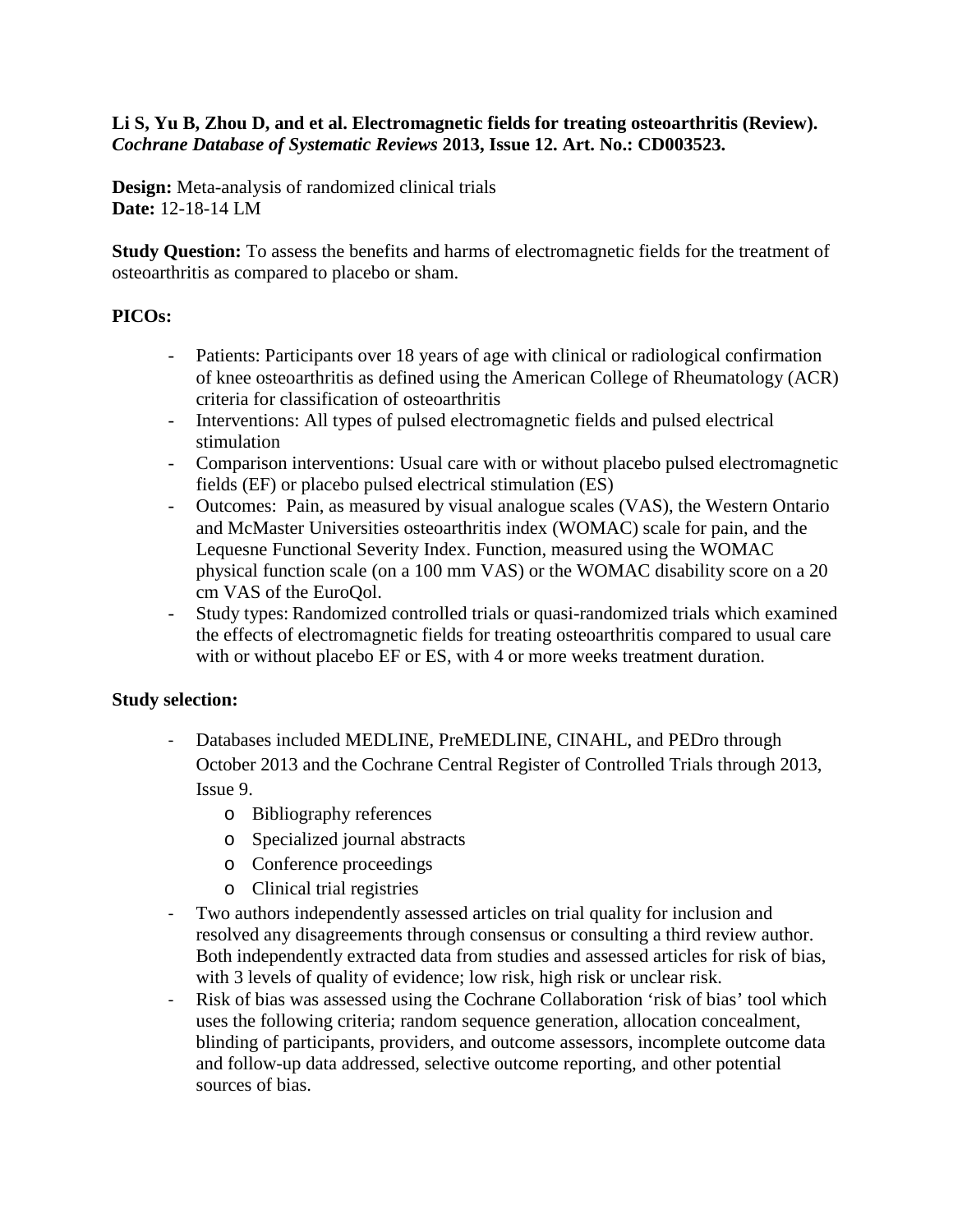### **Li S, Yu B, Zhou D, and et al. Electromagnetic fields for treating osteoarthritis (Review).**  *Cochrane Database of Systematic Reviews* **2013, Issue 12. Art. No.: CD003523.**

**Design:** Meta-analysis of randomized clinical trials **Date:** 12-18-14 LM

**Study Question:** To assess the benefits and harms of electromagnetic fields for the treatment of osteoarthritis as compared to placebo or sham.

# **PICOs:**

- Patients: Participants over 18 years of age with clinical or radiological confirmation of knee osteoarthritis as defined using the American College of Rheumatology (ACR) criteria for classification of osteoarthritis
- Interventions: All types of pulsed electromagnetic fields and pulsed electrical stimulation
- Comparison interventions: Usual care with or without placebo pulsed electromagnetic fields (EF) or placebo pulsed electrical stimulation (ES)
- Outcomes: Pain, as measured by visual analogue scales (VAS), the Western Ontario and McMaster Universities osteoarthritis index (WOMAC) scale for pain, and the Lequesne Functional Severity Index. Function, measured using the WOMAC physical function scale (on a 100 mm VAS) or the WOMAC disability score on a 20 cm VAS of the EuroQol.
- Study types: Randomized controlled trials or quasi-randomized trials which examined the effects of electromagnetic fields for treating osteoarthritis compared to usual care with or without placebo EF or ES, with 4 or more weeks treatment duration.

# **Study selection:**

- Databases included MEDLINE, PreMEDLINE, CINAHL, and PEDro through October 2013 and the Cochrane Central Register of Controlled Trials through 2013, Issue 9.
	- o Bibliography references
	- o Specialized journal abstracts
	- o Conference proceedings
	- o Clinical trial registries
- Two authors independently assessed articles on trial quality for inclusion and resolved any disagreements through consensus or consulting a third review author. Both independently extracted data from studies and assessed articles for risk of bias, with 3 levels of quality of evidence; low risk, high risk or unclear risk.
- Risk of bias was assessed using the Cochrane Collaboration 'risk of bias' tool which uses the following criteria; random sequence generation, allocation concealment, blinding of participants, providers, and outcome assessors, incomplete outcome data and follow-up data addressed, selective outcome reporting, and other potential sources of bias.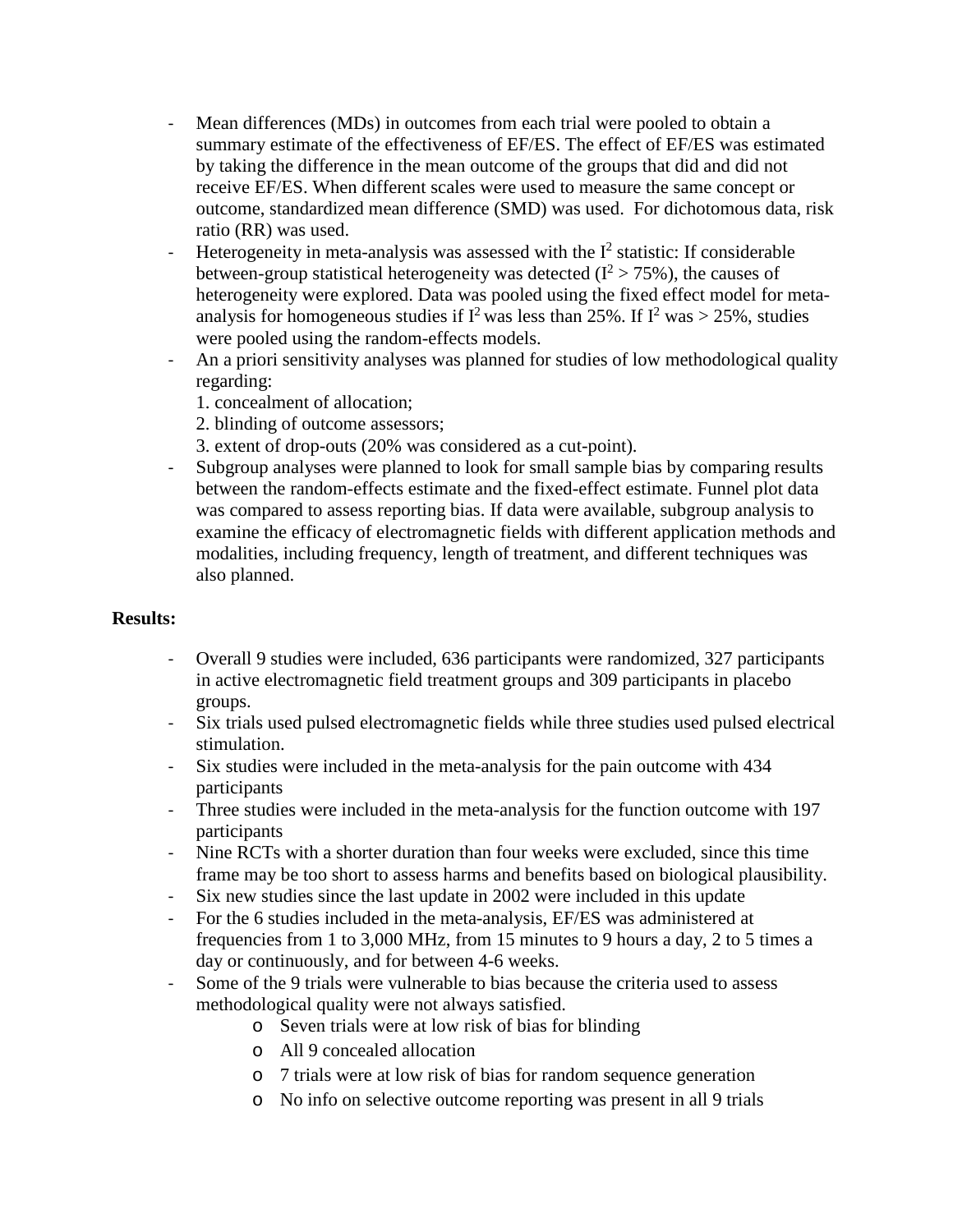- Mean differences (MDs) in outcomes from each trial were pooled to obtain a summary estimate of the effectiveness of EF/ES. The effect of EF/ES was estimated by taking the difference in the mean outcome of the groups that did and did not receive EF/ES. When different scales were used to measure the same concept or outcome, standardized mean difference (SMD) was used. For dichotomous data, risk ratio (RR) was used.
- Heterogeneity in meta-analysis was assessed with the  $I<sup>2</sup>$  statistic: If considerable between-group statistical heterogeneity was detected  $(I^2 > 75\%)$ , the causes of heterogeneity were explored. Data was pooled using the fixed effect model for metaanalysis for homogeneous studies if  $I^2$  was less than 25%. If  $I^2$  was > 25%, studies were pooled using the random-effects models.
- An a priori sensitivity analyses was planned for studies of low methodological quality regarding:
	- 1. concealment of allocation;
	- 2. blinding of outcome assessors;
	- 3. extent of drop-outs (20% was considered as a cut-point).
- Subgroup analyses were planned to look for small sample bias by comparing results between the random-effects estimate and the fixed-effect estimate. Funnel plot data was compared to assess reporting bias. If data were available, subgroup analysis to examine the efficacy of electromagnetic fields with different application methods and modalities, including frequency, length of treatment, and different techniques was also planned.

## **Results:**

- Overall 9 studies were included, 636 participants were randomized, 327 participants in active electromagnetic field treatment groups and 309 participants in placebo groups.
- Six trials used pulsed electromagnetic fields while three studies used pulsed electrical stimulation.
- Six studies were included in the meta-analysis for the pain outcome with 434 participants
- Three studies were included in the meta-analysis for the function outcome with 197 participants
- Nine RCTs with a shorter duration than four weeks were excluded, since this time frame may be too short to assess harms and benefits based on biological plausibility.
- Six new studies since the last update in 2002 were included in this update
- For the 6 studies included in the meta-analysis, EF/ES was administered at frequencies from 1 to 3,000 MHz, from 15 minutes to 9 hours a day, 2 to 5 times a day or continuously, and for between 4-6 weeks.
- Some of the 9 trials were vulnerable to bias because the criteria used to assess methodological quality were not always satisfied.
	- o Seven trials were at low risk of bias for blinding
	- o All 9 concealed allocation
	- o 7 trials were at low risk of bias for random sequence generation
	- o No info on selective outcome reporting was present in all 9 trials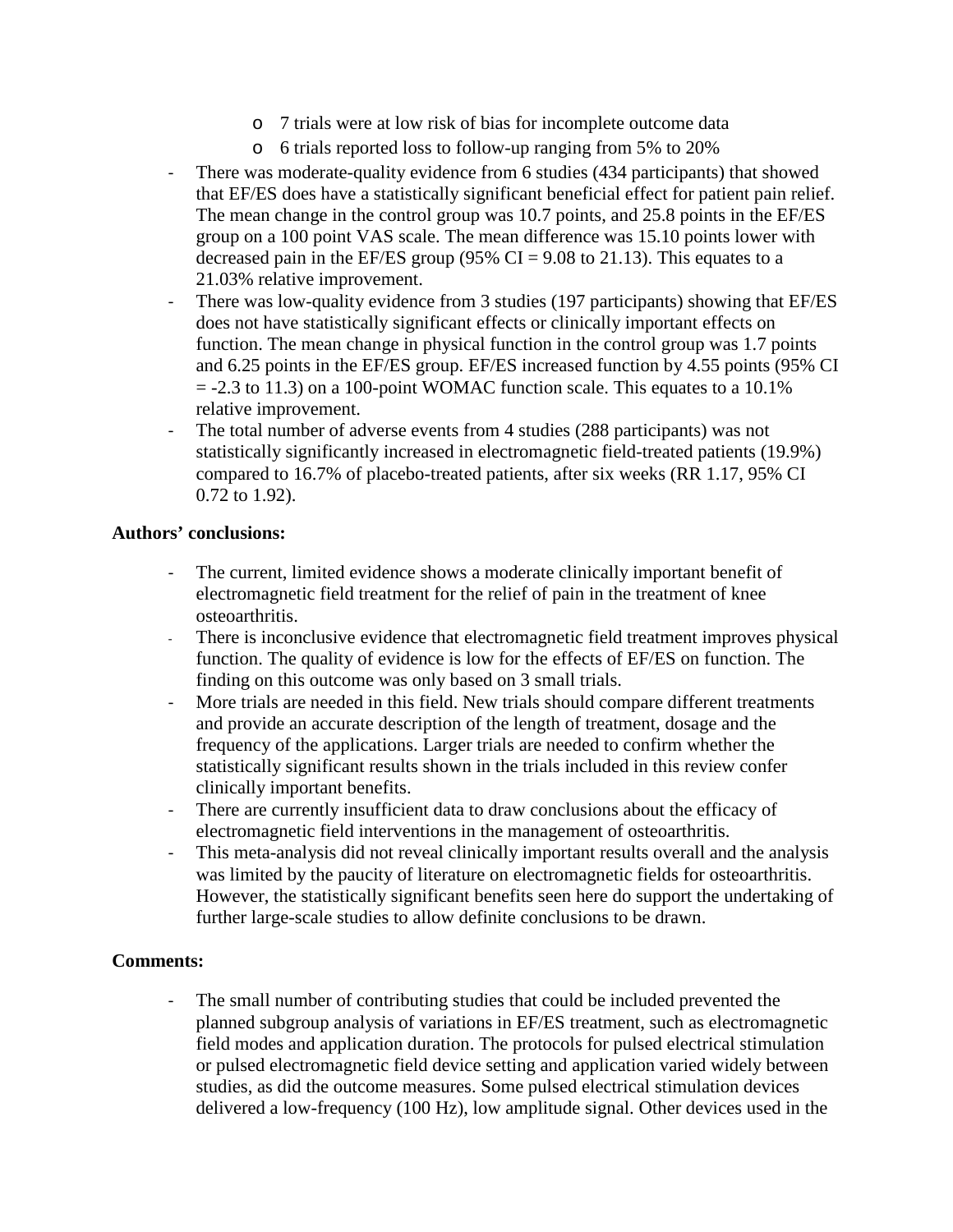- o 7 trials were at low risk of bias for incomplete outcome data
- o 6 trials reported loss to follow-up ranging from 5% to 20%
- There was moderate-quality evidence from 6 studies (434 participants) that showed that EF/ES does have a statistically significant beneficial effect for patient pain relief. The mean change in the control group was 10.7 points, and 25.8 points in the EF/ES group on a 100 point VAS scale. The mean difference was 15.10 points lower with decreased pain in the EF/ES group (95% CI = 9.08 to 21.13). This equates to a 21.03% relative improvement.
- There was low-quality evidence from 3 studies (197 participants) showing that EF/ES does not have statistically significant effects or clinically important effects on function. The mean change in physical function in the control group was 1.7 points and 6.25 points in the EF/ES group. EF/ES increased function by 4.55 points (95% CI  $= -2.3$  to 11.3) on a 100-point WOMAC function scale. This equates to a 10.1% relative improvement.
- The total number of adverse events from 4 studies (288 participants) was not statistically significantly increased in electromagnetic field-treated patients (19.9%) compared to 16.7% of placebo-treated patients, after six weeks (RR 1.17, 95% CI 0.72 to 1.92).

#### **Authors' conclusions:**

- The current, limited evidence shows a moderate clinically important benefit of electromagnetic field treatment for the relief of pain in the treatment of knee osteoarthritis.
- There is inconclusive evidence that electromagnetic field treatment improves physical function. The quality of evidence is low for the effects of EF/ES on function. The finding on this outcome was only based on 3 small trials.
- More trials are needed in this field. New trials should compare different treatments and provide an accurate description of the length of treatment, dosage and the frequency of the applications. Larger trials are needed to confirm whether the statistically significant results shown in the trials included in this review confer clinically important benefits.
- There are currently insufficient data to draw conclusions about the efficacy of electromagnetic field interventions in the management of osteoarthritis.
- This meta-analysis did not reveal clinically important results overall and the analysis was limited by the paucity of literature on electromagnetic fields for osteoarthritis. However, the statistically significant benefits seen here do support the undertaking of further large-scale studies to allow definite conclusions to be drawn.

# **Comments:**

The small number of contributing studies that could be included prevented the planned subgroup analysis of variations in EF/ES treatment, such as electromagnetic field modes and application duration. The protocols for pulsed electrical stimulation or pulsed electromagnetic field device setting and application varied widely between studies, as did the outcome measures. Some pulsed electrical stimulation devices delivered a low-frequency (100 Hz), low amplitude signal. Other devices used in the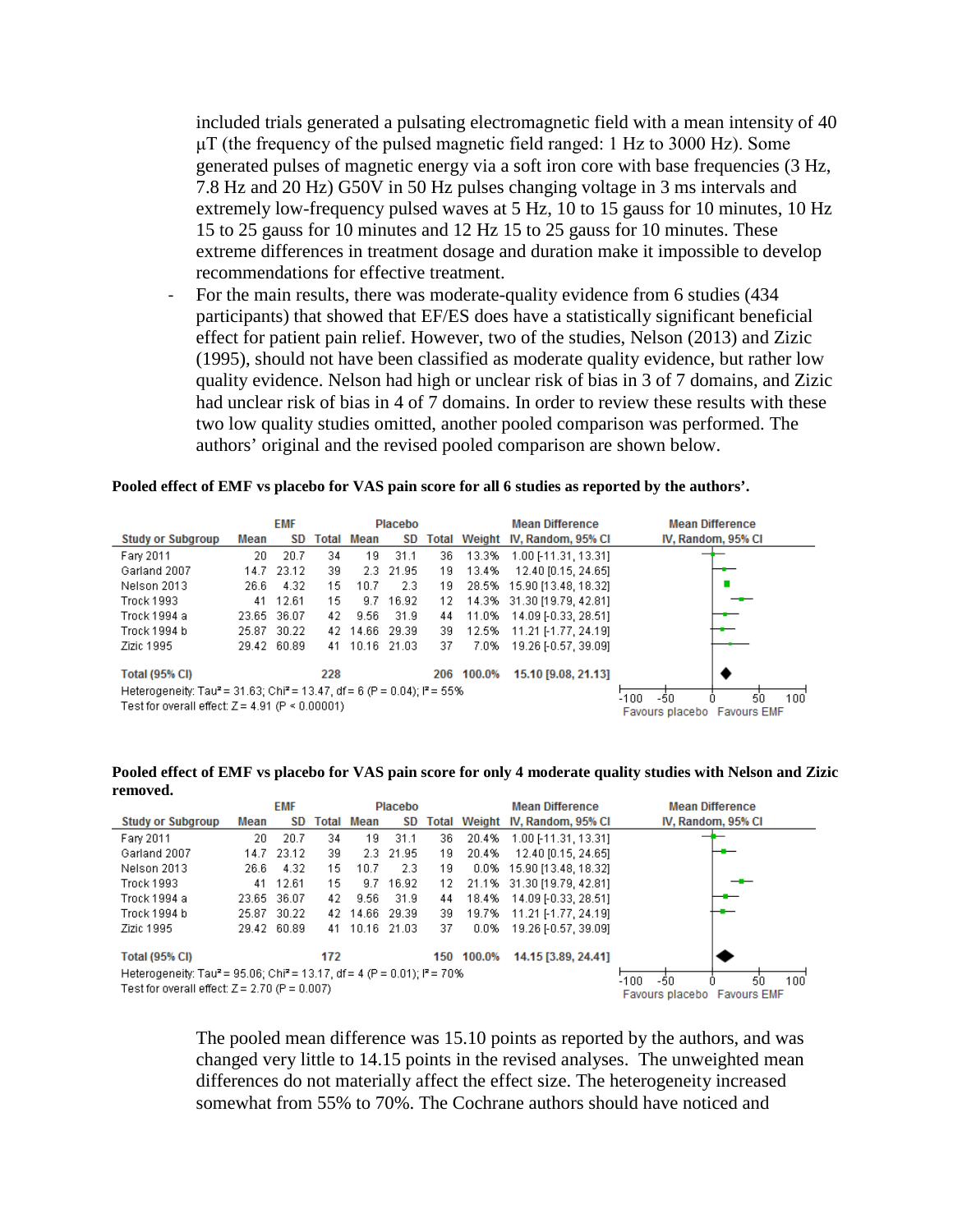included trials generated a pulsating electromagnetic field with a mean intensity of 40  $\mu$ T (the frequency of the pulsed magnetic field ranged: 1 Hz to 3000 Hz). Some generated pulses of magnetic energy via a soft iron core with base frequencies (3 Hz, 7.8 Hz and 20 Hz) G50V in 50 Hz pulses changing voltage in 3 ms intervals and extremely low-frequency pulsed waves at 5 Hz, 10 to 15 gauss for 10 minutes, 10 Hz 15 to 25 gauss for 10 minutes and 12 Hz 15 to 25 gauss for 10 minutes. These extreme differences in treatment dosage and duration make it impossible to develop recommendations for effective treatment.

For the main results, there was moderate-quality evidence from 6 studies (434) participants) that showed that EF/ES does have a statistically significant beneficial effect for patient pain relief. However, two of the studies, Nelson (2013) and Zizic (1995), should not have been classified as moderate quality evidence, but rather low quality evidence. Nelson had high or unclear risk of bias in 3 of 7 domains, and Zizic had unclear risk of bias in 4 of 7 domains. In order to review these results with these two low quality studies omitted, another pooled comparison was performed. The authors' original and the revised pooled comparison are shown below.

#### **Pooled effect of EMF vs placebo for VAS pain score for all 6 studies as reported by the authors'.**

|                                                                                                            | <b>EMF</b><br>Placebo |                             |     |                   |         |     |        | <b>Mean Difference</b>          | <b>Mean Difference</b> |
|------------------------------------------------------------------------------------------------------------|-----------------------|-----------------------------|-----|-------------------|---------|-----|--------|---------------------------------|------------------------|
| <b>Study or Subgroup</b>                                                                                   | Mean                  | SD                          |     | <b>Total Mean</b> | SD      |     |        | Total Weight IV, Random, 95% CI | IV, Random, 95% CI     |
| Fary 2011                                                                                                  | 20.                   | 20.7                        | 34  | 19                | 31.1    | 36  | 13.3%  | 1.00 [-11.31, 13.31]            |                        |
| Garland 2007                                                                                               | 14.7                  | 23.12                       | 39  | $2.3 -$           | - 21.95 | 19  | 13.4%  | 12.40 [0.15, 24.65]             |                        |
| Nelson 2013                                                                                                | 26.6                  | 4.32                        | 15  | 10.7              | 2.3     | 19  |        | 28.5% 15.90 [13.48, 18.32]      |                        |
| <b>Trock 1993</b>                                                                                          | 41                    | 12.61                       | 15  | 9.7               | 16.92   | 12. |        | 14.3% 31.30 [19.79, 42.81]      |                        |
| Trock 1994 a                                                                                               | 23.65                 | 36.07                       | 42. | 9.56              | 31.9    | 44  | 11.0%  | 14.09 [-0.33, 28.51]            |                        |
| Trock 1994 b                                                                                               | 25.87                 | 30.22                       | 42  | 14.66 29.39       |         | 39  | 12.5%  | 11.21 [-1.77, 24.19]            |                        |
| Zizic 1995                                                                                                 |                       | 29.42 60.89                 |     | 41 10.16 21.03    |         | 37  | 7.0%   | 19.26 [-0.57, 39.09]            |                        |
| <b>Total (95% CI)</b>                                                                                      |                       |                             | 228 |                   |         | 206 | 100.0% | 15.10 [9.08, 21.13]             |                        |
| Heterogeneity: Tau <sup>2</sup> = 31.63; Chi <sup>2</sup> = 13.47, df = 6 (P = 0.04); i <sup>2</sup> = 55% |                       | 100<br>-100<br>-50<br>50    |     |                   |         |     |        |                                 |                        |
| Test for overall effect: $Z = 4.91$ (P < 0.00001)                                                          |                       | Favours placebo Favours EMF |     |                   |         |     |        |                                 |                        |

**Pooled effect of EMF vs placebo for VAS pain score for only 4 moderate quality studies with Nelson and Zizic removed.**

|                                                                                                                                                               | <b>EMF</b><br>Placebo                                   |             |     |                   |           |     |         | <b>Mean Difference</b>          | <b>Mean Difference</b> |
|---------------------------------------------------------------------------------------------------------------------------------------------------------------|---------------------------------------------------------|-------------|-----|-------------------|-----------|-----|---------|---------------------------------|------------------------|
| <b>Study or Subgroup</b>                                                                                                                                      | Mean                                                    | SD          |     | <b>Total Mean</b> | SD        |     |         | Total Weight IV, Random, 95% CI | IV, Random, 95% CI     |
| Fary 2011                                                                                                                                                     | 20                                                      | 20.7        | 34  | 19                | 31.1      | 36. | 20.4%   | 1.00 [-11.31, 13.31]            |                        |
| Garland 2007                                                                                                                                                  | 14.7                                                    | 23.12       | 39  |                   | 2.3 21.95 | 19  | 20.4%   | 12.40 [0.15, 24.65]             |                        |
| Nelson 2013                                                                                                                                                   | 26.6                                                    | 4.32        | 15  | 10.7              | 2.3       | 19. |         | 0.0% 15.90 [13.48, 18.32]       |                        |
| <b>Trock 1993</b>                                                                                                                                             | 41                                                      | 12.61       | 15  | 9.7               | 16.92     | 12. |         | 21.1% 31.30 [19.79, 42.81]      |                        |
| Trock 1994 a                                                                                                                                                  | 23.65 36.07                                             |             | 42  | 9.56              | -31.9     | 44  | 18.4%   | 14.09 [-0.33, 28.51]            |                        |
| Trock 1994 b                                                                                                                                                  |                                                         | 25.87 30.22 |     | 42 14.66 29.39    |           | 39. | 19.7%   | 11.21 [-1.77, 24.19]            |                        |
| Zizic 1995                                                                                                                                                    |                                                         | 29.42 60.89 | 41  | 10.16 21.03       |           | 37  | $0.0\%$ | 19.26 [-0.57, 39.09]            |                        |
| <b>Total (95% CI)</b>                                                                                                                                         |                                                         |             | 172 |                   |           | 150 | 100.0%  | 14.15 [3.89, 24.41]             |                        |
| Heterogeneity: Tau <sup>2</sup> = 95.06; Chi <sup>2</sup> = 13.17, df = 4 (P = 0.01); l <sup>2</sup> = 70%<br>Test for overall effect: $Z = 2.70$ (P = 0.007) | 100<br>-100<br>-50<br>50<br>Favours placebo Favours EMF |             |     |                   |           |     |         |                                 |                        |

The pooled mean difference was 15.10 points as reported by the authors, and was changed very little to 14.15 points in the revised analyses. The unweighted mean differences do not materially affect the effect size. The heterogeneity increased somewhat from 55% to 70%. The Cochrane authors should have noticed and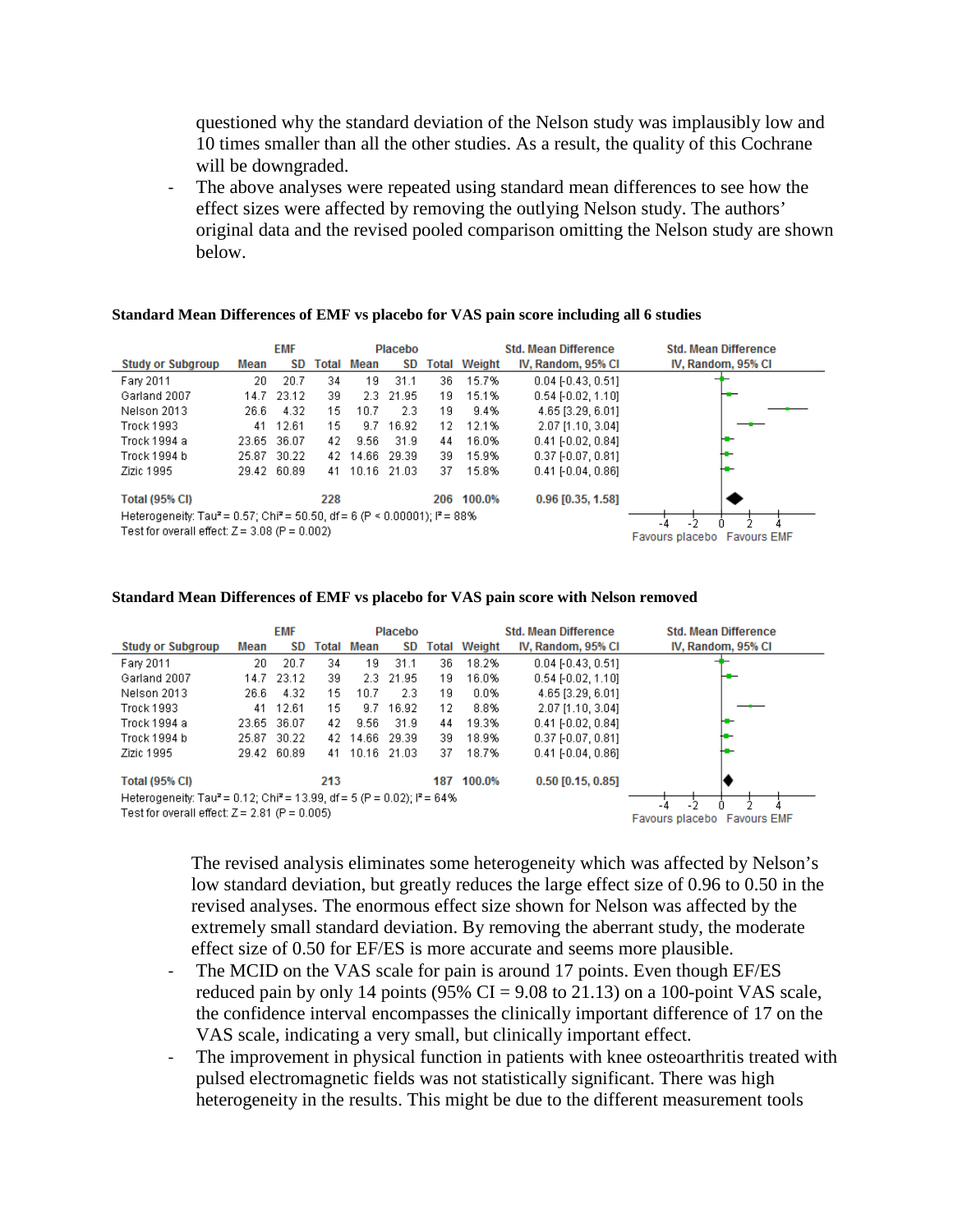questioned why the standard deviation of the Nelson study was implausibly low and 10 times smaller than all the other studies. As a result, the quality of this Cochrane will be downgraded.

- The above analyses were repeated using standard mean differences to see how the effect sizes were affected by removing the outlying Nelson study. The authors' original data and the revised pooled comparison omitting the Nelson study are shown below.

#### **Standard Mean Differences of EMF vs placebo for VAS pain score including all 6 studies**

|                                                                                                    | <b>EMF</b><br>Placebo       |             |     |                   |           |       |        | <b>Std. Mean Difference</b> | <b>Std. Mean Difference</b> |
|----------------------------------------------------------------------------------------------------|-----------------------------|-------------|-----|-------------------|-----------|-------|--------|-----------------------------|-----------------------------|
| <b>Study or Subgroup</b>                                                                           | Mean                        | SD.         |     | <b>Total Mean</b> | SD.       | Total | Weight | IV, Random, 95% CI          | IV, Random, 95% CI          |
| Fary 2011                                                                                          | 20                          | 20.7        | 34  | 19                | 31.1      | 36.   | 15.7%  | $0.04$ [ $-0.43$ , $0.51$ ] |                             |
| Garland 2007                                                                                       |                             | 14.7 23.12  | 39  |                   | 2.3 21.95 | 19    | 15.1%  | $0.54$ [-0.02, 1.10]        |                             |
| Nelson 2013                                                                                        | 26.6                        | 4.32        | 15. | 10.7              | 2.3       | 19    | 9.4%   | 4.65 [3.29, 6.01]           |                             |
| <b>Trock 1993</b>                                                                                  | 41                          | 12.61       | 15  | 9.7               | 16.92     | 12    | 12.1%  | 2.07 [1.10, 3.04]           |                             |
| Trock 1994 a                                                                                       | 23.65                       | 36.07       | 42  | 9.56              | 31.9      | 44    | 16.0%  | $0.41$ [ $-0.02$ , $0.84$ ] | ю.                          |
| Trock 1994 b                                                                                       |                             | 25.87 30.22 |     | 42 14.66 29.39    |           | 39.   | 15.9%  | $0.37$ $[-0.07, 0.81]$      | ⊷                           |
| Zizic 1995                                                                                         |                             | 29.42 60.89 | 41  | 10.16 21.03       |           | 37    | 15.8%  | $0.41$ [ $-0.04$ , $0.86$ ] | ₩                           |
| <b>Total (95% CI)</b>                                                                              |                             |             | 228 |                   |           | 206   | 100.0% | 0.96 [0.35, 1.58]           |                             |
| Heterogeneity: Tau <sup>2</sup> = 0.57; Chi <sup>2</sup> = 50.50, df = 6 (P < 0.00001); $P = 88\%$ | -2<br>-4                    |             |     |                   |           |       |        |                             |                             |
| Test for overall effect: $Z = 3.08$ (P = 0.002)                                                    | Favours placebo Favours EMF |             |     |                   |           |       |        |                             |                             |

#### **Standard Mean Differences of EMF vs placebo for VAS pain score with Nelson removed**

|                                                                                                                                                    |                                          | <b>EMF</b>  |     |                   | Placebo   |     |                     | <b>Std. Mean Difference</b> | <b>Std. Mean Difference</b> |
|----------------------------------------------------------------------------------------------------------------------------------------------------|------------------------------------------|-------------|-----|-------------------|-----------|-----|---------------------|-----------------------------|-----------------------------|
| <b>Study or Subgroup</b>                                                                                                                           | Mean                                     | <b>SD</b>   |     | <b>Total Mean</b> | <b>SD</b> |     | <b>Total Weight</b> | IV, Random, 95% CI          | IV, Random, 95% CI          |
| Fary 2011                                                                                                                                          | 20                                       | 20.7        | 34  | 19                | 31.1      | 36. | 18.2%               | $0.04$ [ $-0.43$ , $0.51$ ] |                             |
| Garland 2007                                                                                                                                       |                                          | 14.7 23.12  | 39  | 2.3               | - 21.95   | 19  | 16.0%               | $0.54$ [-0.02, 1.10]        | ╼                           |
| Nelson 2013                                                                                                                                        | 26.6                                     | 4.32        | 15  | 10.7              | 2.3       | 19  | 0.0%                | 4.65 [3.29, 6.01]           |                             |
| <b>Trock 1993</b>                                                                                                                                  | 41                                       | 12.61       | 15  | 9.7               | 16.92     | 12  | 8.8%                | 2.07 [1.10, 3.04]           |                             |
| Trock 1994 a                                                                                                                                       |                                          | 23.65 36.07 | 42. | 9.56              | 31.9      | 44  | 19.3%               | $0.41$ [ $-0.02$ , $0.84$ ] | н.                          |
| Trock 1994 b                                                                                                                                       |                                          | 25.87 30.22 |     | 42 14.66 29.39    |           | 39. | 18.9%               | $0.37$ $[-0.07, 0.81]$      | ₩                           |
| Zizic 1995                                                                                                                                         |                                          | 29.42 60.89 | 41  | 10.16 21.03       |           | 37  | 18.7%               | $0.41$ [ $-0.04$ , $0.86$ ] | ╄╋╾                         |
| <b>Total (95% CI)</b>                                                                                                                              |                                          |             | 213 |                   |           | 187 | 100.0%              | $0.50$ [0.15, 0.85]         |                             |
| Heterogeneity: Tau <sup>2</sup> = 0.12; Chi <sup>2</sup> = 13.99, df = 5 (P = 0.02); $P = 64\%$<br>Test for overall effect: $Z = 2.81$ (P = 0.005) | -2<br>- 4<br>Eavours placebo Eavours EME |             |     |                   |           |     |                     |                             |                             |

The revised analysis eliminates some heterogeneity which was affected by Nelson's low standard deviation, but greatly reduces the large effect size of 0.96 to 0.50 in the revised analyses. The enormous effect size shown for Nelson was affected by the extremely small standard deviation. By removing the aberrant study, the moderate effect size of 0.50 for EF/ES is more accurate and seems more plausible.

- The MCID on the VAS scale for pain is around 17 points. Even though EF/ES reduced pain by only 14 points (95% CI =  $9.08$  to 21.13) on a 100-point VAS scale, the confidence interval encompasses the clinically important difference of 17 on the VAS scale, indicating a very small, but clinically important effect.
- The improvement in physical function in patients with knee osteoarthritis treated with pulsed electromagnetic fields was not statistically significant. There was high heterogeneity in the results. This might be due to the different measurement tools